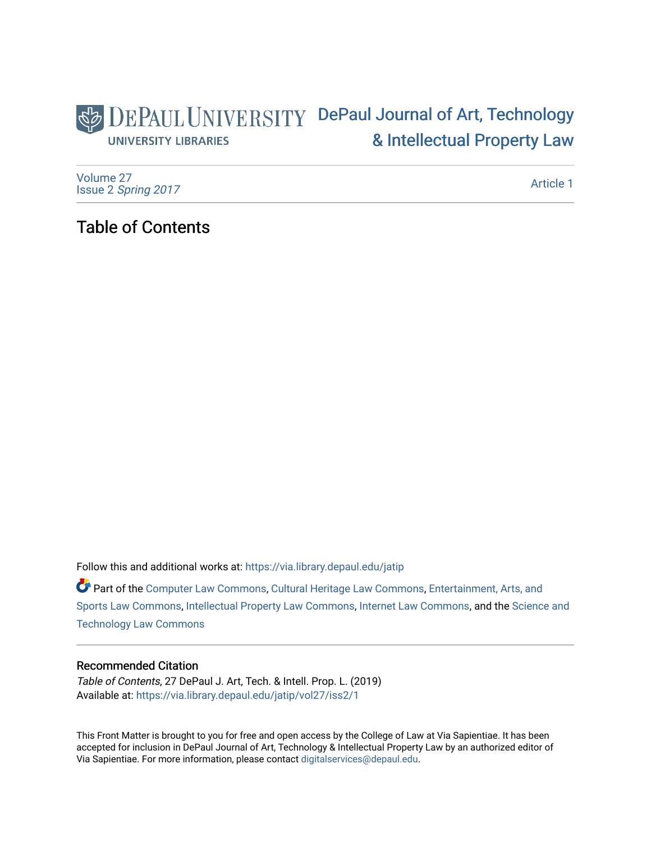# DEPAUL UNIVERSITY DePaul Journal of Art, Technology [& Intellectual Property Law](https://via.library.depaul.edu/jatip)  **UNIVERSITY LIBRARIES**

[Volume 27](https://via.library.depaul.edu/jatip/vol27) Issue 2 [Spring 2017](https://via.library.depaul.edu/jatip/vol27/iss2) 

[Article 1](https://via.library.depaul.edu/jatip/vol27/iss2/1) 

# Table of Contents

Follow this and additional works at: [https://via.library.depaul.edu/jatip](https://via.library.depaul.edu/jatip?utm_source=via.library.depaul.edu%2Fjatip%2Fvol27%2Fiss2%2F1&utm_medium=PDF&utm_campaign=PDFCoverPages)

Part of the [Computer Law Commons,](http://network.bepress.com/hgg/discipline/837?utm_source=via.library.depaul.edu%2Fjatip%2Fvol27%2Fiss2%2F1&utm_medium=PDF&utm_campaign=PDFCoverPages) [Cultural Heritage Law Commons](http://network.bepress.com/hgg/discipline/1384?utm_source=via.library.depaul.edu%2Fjatip%2Fvol27%2Fiss2%2F1&utm_medium=PDF&utm_campaign=PDFCoverPages), Entertainment, Arts, and [Sports Law Commons,](http://network.bepress.com/hgg/discipline/893?utm_source=via.library.depaul.edu%2Fjatip%2Fvol27%2Fiss2%2F1&utm_medium=PDF&utm_campaign=PDFCoverPages) [Intellectual Property Law Commons,](http://network.bepress.com/hgg/discipline/896?utm_source=via.library.depaul.edu%2Fjatip%2Fvol27%2Fiss2%2F1&utm_medium=PDF&utm_campaign=PDFCoverPages) [Internet Law Commons,](http://network.bepress.com/hgg/discipline/892?utm_source=via.library.depaul.edu%2Fjatip%2Fvol27%2Fiss2%2F1&utm_medium=PDF&utm_campaign=PDFCoverPages) and the [Science and](http://network.bepress.com/hgg/discipline/875?utm_source=via.library.depaul.edu%2Fjatip%2Fvol27%2Fiss2%2F1&utm_medium=PDF&utm_campaign=PDFCoverPages)  [Technology Law Commons](http://network.bepress.com/hgg/discipline/875?utm_source=via.library.depaul.edu%2Fjatip%2Fvol27%2Fiss2%2F1&utm_medium=PDF&utm_campaign=PDFCoverPages) 

## Recommended Citation

Table of Contents, 27 DePaul J. Art, Tech. & Intell. Prop. L. (2019) Available at: [https://via.library.depaul.edu/jatip/vol27/iss2/1](https://via.library.depaul.edu/jatip/vol27/iss2/1?utm_source=via.library.depaul.edu%2Fjatip%2Fvol27%2Fiss2%2F1&utm_medium=PDF&utm_campaign=PDFCoverPages) 

This Front Matter is brought to you for free and open access by the College of Law at Via Sapientiae. It has been accepted for inclusion in DePaul Journal of Art, Technology & Intellectual Property Law by an authorized editor of Via Sapientiae. For more information, please contact [digitalservices@depaul.edu](mailto:digitalservices@depaul.edu).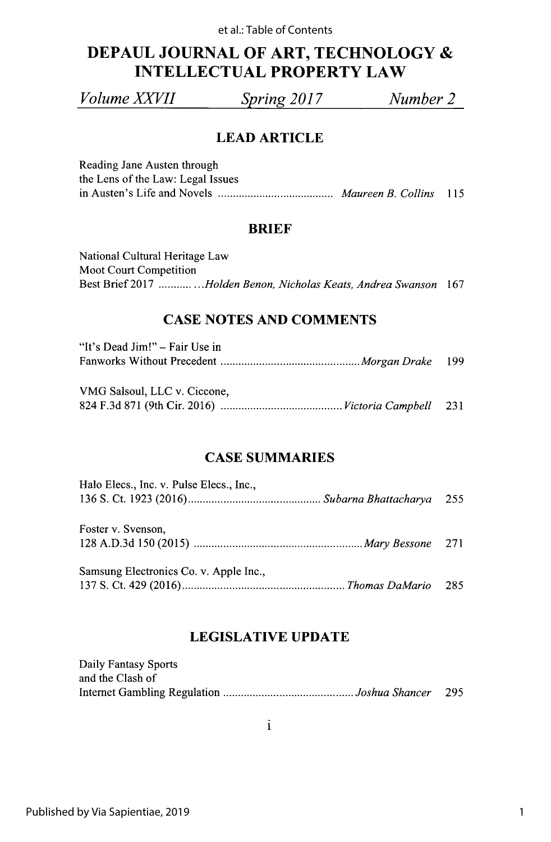# **DEPAUL JOURNAL OF ART, TECHNOLOGY INTELLECTUAL PROPERTY LAW**

*Volume XXVII Spring 2017 Number 2*

# **LEAD ARTICLE**

Reading Jane Austen through the Lens of the Law: Legal Issues in Austen's Life and Novels **................... Maureen** *B. Collins <sup>115</sup>*

## **BRIEF**

| National Cultural Heritage Law                                   |  |
|------------------------------------------------------------------|--|
| <b>Moot Court Competition</b>                                    |  |
| Best Brief 2017 Holden Benon, Nicholas Keats, Andrea Swanson 167 |  |

# **CASE NOTES AND COMMENTS**

| "It's Dead Jim!" – Fair Use in |  |
|--------------------------------|--|
|                                |  |

| VMG Salsoul, LLC v. Ciccone, |  |
|------------------------------|--|
|                              |  |

## **CASE SUMMARIES**

| Halo Elecs., Inc. v. Pulse Elecs., Inc., |  |
|------------------------------------------|--|
|                                          |  |
| Foster v. Svenson,                       |  |
|                                          |  |
| Samsung Electronics Co. v. Apple Inc.,   |  |
|                                          |  |

# **LEGISLATIVE UPDATE**

| Daily Fantasy Sports |      |
|----------------------|------|
| and the Clash of     |      |
|                      | -295 |

i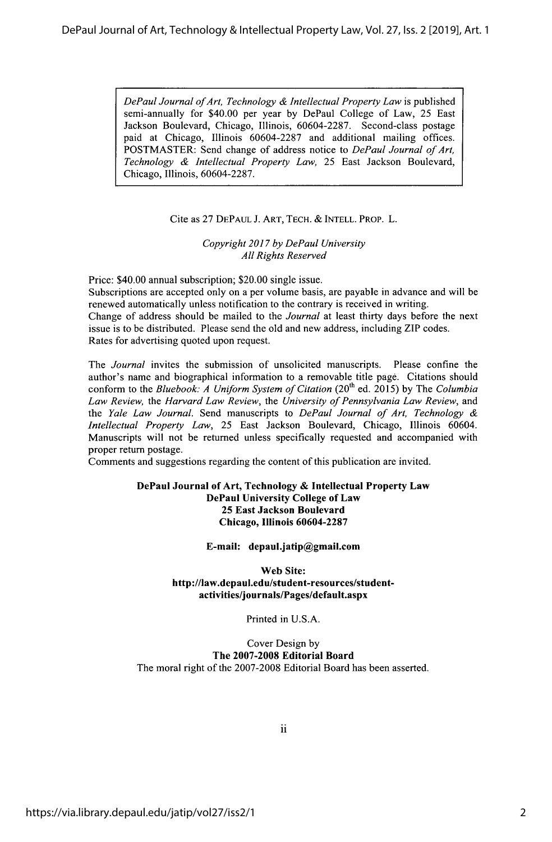*DePaul Journal ofArt, Technology & Intellectual Property Law* is published semi-annually for \$40.00 per year **by** DePaul College of Law, *25* East Jackson Boulevard, Chicago, Illinois, **60604-2287.** Second-class postage paid at Chicago, Illinois **60604-2287** and additional mailing offices. POSTMASTER: Send change of address notice to *DePaul Journal of Art, Technology & Intellectual Property Law,* **25** East Jackson Boulevard, Chicago, Illinois, **60604-2287.**

#### Cite as **27 DEPAUL J. ART, TECH.** *&* **INTELL. PROP.** L.

*Copyright 2017 by DePaul University All Rights Reserved*

Price: \$40.00 annual subscription; \$20.00 single issue. Subscriptions are accepted only on a per volume basis, are payable in advance and will be renewed automatically unless notification to the contrary is received in writing. Change of address should be mailed to the *Journal* at least thirty days before the next issue is to be distributed. Please send the old and new address, including ZIP codes. Rates for advertising quoted upon request.

*The Journal* invites the submission of unsolicited manuscripts. Please confine the author's name and biographical information to a removable title page. Citations should conform to the *Bluebook: A Uniform System of Citation (20th* ed. **2015) by** The *Columbia* Law Review, the Harvard Law Review, the University of Pennsylvania Law Review, and the *Yale Law Journal.* Send manuscripts to *DePaul Journal of Art, Technology Intellectual Property Law,* **25** East Jackson Boulevard, Chicago, Illinois 60604. Manuscripts will not be returned unless specifically requested and accompanied with proper return postage.

Comments and suggestions regarding the content of this publication are invited.

#### **DePaul Journal of Art, Technology & Intellectual Property Law DePaul University College of Law 25 East Jackson Boulevard Chicago, Illinois 60604-2287**

**E-mail: depaul.jatip@gmail.com**

**Web Site: http://law.depaul.edu/student-resources/studentactivities/journals/Pages/default.aspx**

Printed in **U.S.A.**

Cover Design **by The 2007-2008 Editorial Board** The moral right of the **2007-2008** Editorial Board has been asserted.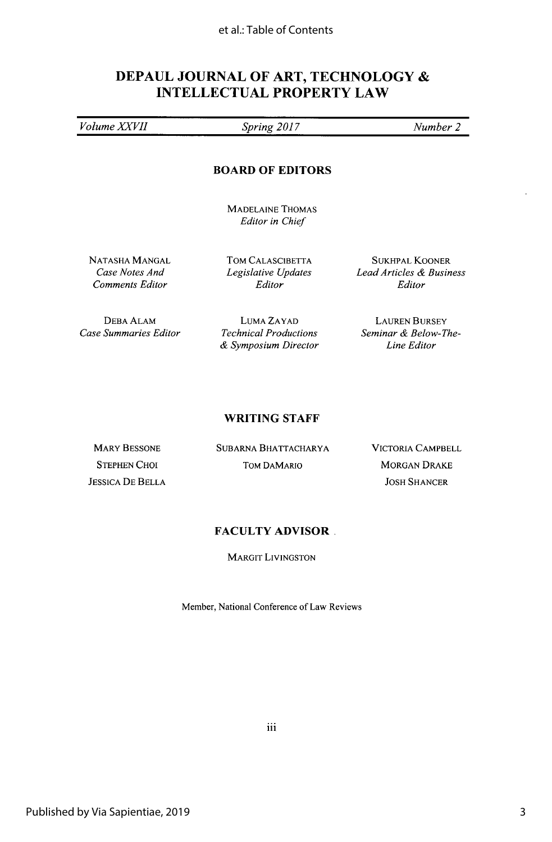# **DEPAUL JOURNAL OF ART, TECHNOLOGY INTELLECTUAL PROPERTY LAW**

*Volume XVl Spring 2017 Number 2*

#### **BOARD OF EDITORS**

**MADELAINE THOMAS** *Editor in Chief*

**NATASHA MANGAL** *Case Notes And Comments Editor*

TOM **CALASCIBETTA** *Legislative Updates Editor*

**SUKHPAL** KOONER *Lead Articles & Business Editor*

**DEBA ALAM** *Case Summaries Editor*

**LUMA** ZAYAD *Technical Productions & Symposium Director*

LAUREN BURSEY *Seminar & Below-The-Line Editor*

#### **WRITING STAFF**

MARY **BESSONE STEPHEN CHOI JESSICA DE** BELLA **SUBARNA** BHATTACHARYA TOM DAMARIO

VICTORIA CAMPBELL MORGAN DRAKE **JOSH SHANCER**

#### **FACULTY ADVISOR.**

MARGIT LIVINGSTON

Member, National Conference of Law Reviews

iii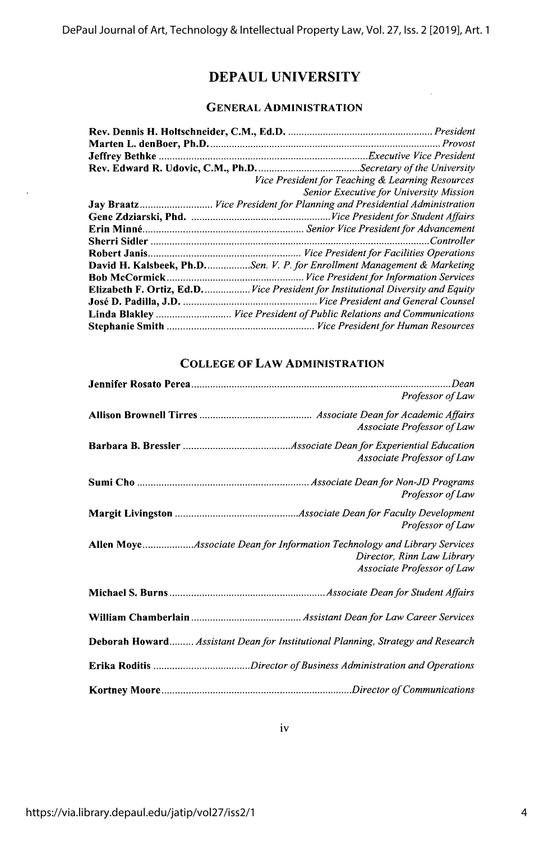# **DEPAUL UNIVERSITY**

### **GENERAL ADMINISTRATION**

| Vice President for Teaching & Learning Resources                                 |
|----------------------------------------------------------------------------------|
| Senior Executive for University Mission                                          |
| Jay Braatz Vice President for Planning and Presidential Administration           |
|                                                                                  |
|                                                                                  |
|                                                                                  |
|                                                                                  |
| <b>David H. Kalsbeek, Ph.D.</b> Sen. V. P. for Enrollment Management & Marketing |
|                                                                                  |
| Elizabeth F. Ortiz, Ed.D Vice President for Institutional Diversity and Equity   |
|                                                                                  |
| Linda Blakley  Vice President of Public Relations and Communications             |
|                                                                                  |
|                                                                                  |

## **COLLEGE OF LAW ADMINISTRATION**

| Professor of Law                                                                                                                     |
|--------------------------------------------------------------------------------------------------------------------------------------|
| Associate Professor of Law                                                                                                           |
| Associate Professor of Law                                                                                                           |
| Professor of Law                                                                                                                     |
| Professor of Law                                                                                                                     |
| Allen MoyeAssociate Dean for Information Technology and Library Services<br>Director, Rinn Law Library<br>Associate Professor of Law |
|                                                                                                                                      |
|                                                                                                                                      |
| <b>Deborah Howard Assistant Dean for Institutional Planning, Strategy and Research</b>                                               |
|                                                                                                                                      |
|                                                                                                                                      |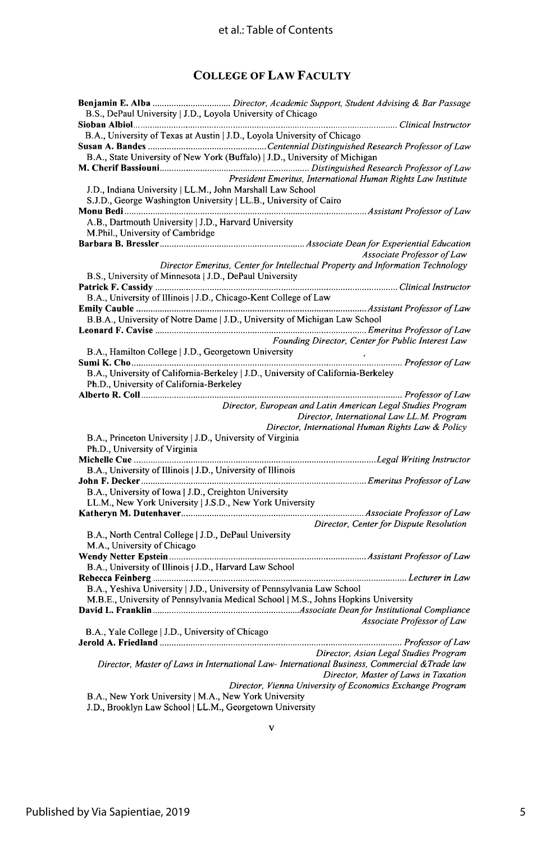## **COLLEGE OF LAW FACULTY**

**J.D.,** Brooklyn Law School **I** LL.M., Georgetown University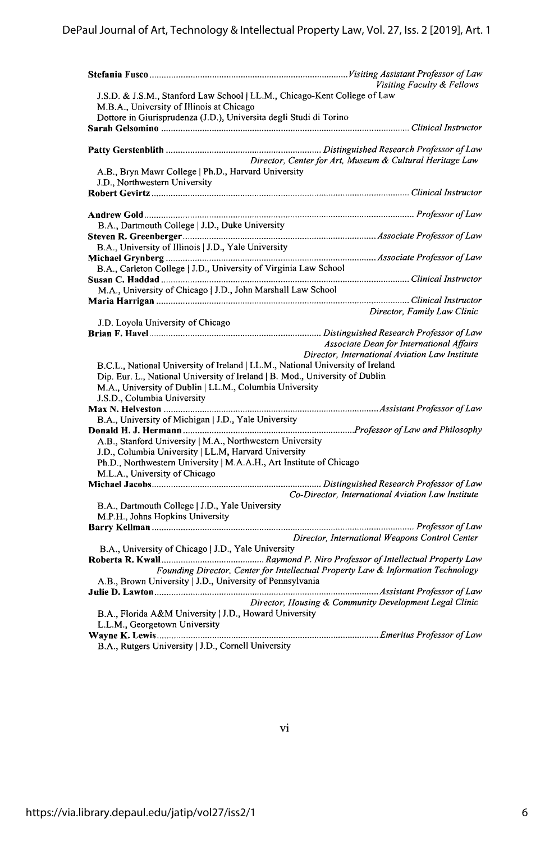|                                                                                  | Visiting Faculty & Fellows                               |
|----------------------------------------------------------------------------------|----------------------------------------------------------|
| J.S.D. & J.S.M., Stanford Law School   LL.M., Chicago-Kent College of Law        |                                                          |
| M.B.A., University of Illinois at Chicago                                        |                                                          |
| Dottore in Giurisprudenza (J.D.), Universita degli Studi di Torino               |                                                          |
|                                                                                  |                                                          |
|                                                                                  |                                                          |
|                                                                                  | Director, Center for Art, Museum & Cultural Heritage Law |
| A.B., Bryn Mawr College   Ph.D., Harvard University                              |                                                          |
| J.D., Northwestern University                                                    |                                                          |
|                                                                                  |                                                          |
|                                                                                  |                                                          |
|                                                                                  |                                                          |
| B.A., Dartmouth College   J.D., Duke University                                  |                                                          |
|                                                                                  |                                                          |
| B.A., University of Illinois   J.D., Yale University                             |                                                          |
|                                                                                  |                                                          |
| B.A., Carleton College   J.D., University of Virginia Law School                 |                                                          |
|                                                                                  |                                                          |
| M.A., University of Chicago   J.D., John Marshall Law School                     |                                                          |
|                                                                                  |                                                          |
|                                                                                  | Director, Family Law Clinic                              |
| J.D. Loyola University of Chicago                                                |                                                          |
|                                                                                  |                                                          |
|                                                                                  | Associate Dean for International Affairs                 |
|                                                                                  | Director, International Aviation Law Institute           |
| B.C.L., National University of Ireland   LL.M., National University of Ireland   |                                                          |
| Dip. Eur. L., National University of Ireland   B. Mod., University of Dublin     |                                                          |
| M.A., University of Dublin   LL.M., Columbia University                          |                                                          |
| J.S.D., Columbia University                                                      |                                                          |
|                                                                                  |                                                          |
| B.A., University of Michigan   J.D., Yale University                             |                                                          |
|                                                                                  |                                                          |
| A.B., Stanford University   M.A., Northwestern University                        |                                                          |
| J.D., Columbia University   LL.M, Harvard University                             |                                                          |
| Ph.D., Northwestern University   M.A.A.H., Art Institute of Chicago              |                                                          |
| M.L.A., University of Chicago                                                    |                                                          |
|                                                                                  |                                                          |
|                                                                                  | Co-Director, International Aviation Law Institute        |
| B.A., Dartmouth College   J.D., Yale University                                  |                                                          |
| M.P.H., Johns Hopkins University                                                 |                                                          |
|                                                                                  |                                                          |
|                                                                                  | Director, International Weapons Control Center           |
| B.A., University of Chicago   J.D., Yale University                              |                                                          |
|                                                                                  |                                                          |
| Founding Director, Center for Intellectual Property Law & Information Technology |                                                          |
| A.B., Brown University   J.D., University of Pennsylvania                        |                                                          |
|                                                                                  |                                                          |
|                                                                                  | Director, Housing & Community Development Legal Clinic   |
| B.A., Florida A&M University   J.D., Howard University                           |                                                          |
| L.L.M., Georgetown University                                                    |                                                          |
|                                                                                  |                                                          |
| B.A., Rutgers University   J.D., Cornell University                              |                                                          |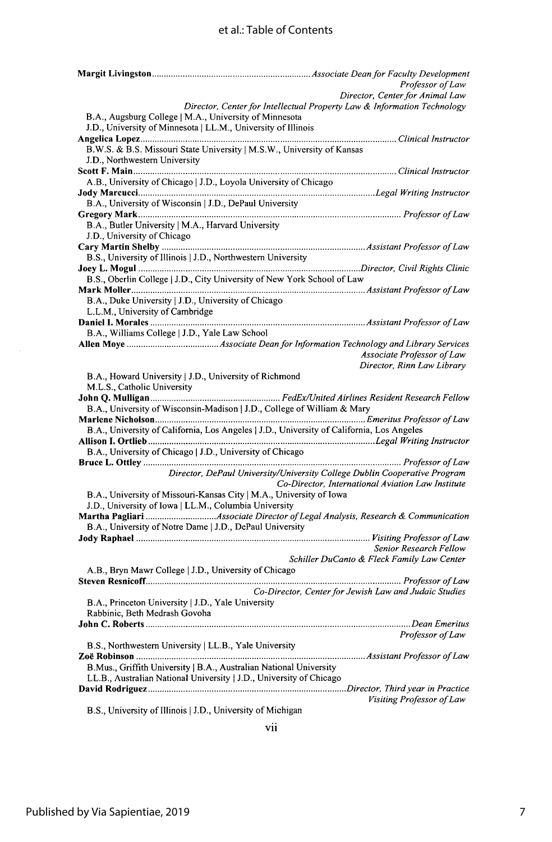# et al.: Table of Contents

|                                                                                           | Professor of Law                                                                                                               |
|-------------------------------------------------------------------------------------------|--------------------------------------------------------------------------------------------------------------------------------|
|                                                                                           | Director, Center for Animal Law                                                                                                |
|                                                                                           | Director, Center for Intellectual Property Law & Information Technology                                                        |
| B.A., Augsburg College   M.A., University of Minnesota                                    |                                                                                                                                |
| J.D., University of Minnesota   LL.M., University of Illinois                             |                                                                                                                                |
| B.W.S. & B.S. Missouri State University   M.S.W., University of Kansas                    |                                                                                                                                |
| J.D., Northwestern University                                                             |                                                                                                                                |
|                                                                                           |                                                                                                                                |
| A.B., University of Chicago   J.D., Loyola University of Chicago                          |                                                                                                                                |
|                                                                                           |                                                                                                                                |
| B.A., University of Wisconsin   J.D., DePaul University                                   |                                                                                                                                |
|                                                                                           |                                                                                                                                |
| B.A., Butler University   M.A., Harvard University                                        |                                                                                                                                |
| J.D., University of Chicago                                                               |                                                                                                                                |
|                                                                                           |                                                                                                                                |
| B.S., University of Illinois   J.D., Northwestern University                              |                                                                                                                                |
| B.S., Oberlin College   J.D., City University of New York School of Law                   |                                                                                                                                |
|                                                                                           |                                                                                                                                |
| B.A., Duke University   J.D., University of Chicago                                       |                                                                                                                                |
| L.L.M., University of Cambridge                                                           |                                                                                                                                |
|                                                                                           |                                                                                                                                |
| B.A., Williams College   J.D., Yale Law School                                            |                                                                                                                                |
|                                                                                           |                                                                                                                                |
|                                                                                           | Associate Professor of Law                                                                                                     |
|                                                                                           | Director, Rinn Law Library                                                                                                     |
| B.A., Howard University   J.D., University of Richmond                                    |                                                                                                                                |
| M.L.S., Catholic University                                                               |                                                                                                                                |
|                                                                                           |                                                                                                                                |
| B.A., University of Wisconsin-Madison   J.D., College of William & Mary                   |                                                                                                                                |
| B.A., University of California, Los Angeles   J.D., University of California, Los Angeles |                                                                                                                                |
|                                                                                           |                                                                                                                                |
| B.A., University of Chicago   J.D., University of Chicago                                 |                                                                                                                                |
|                                                                                           |                                                                                                                                |
|                                                                                           | Director, DePaul University/University College Dublin Cooperative Program<br>Co-Director, International Aviation Law Institute |
| B.A., University of Missouri-Kansas City   M.A., University of Iowa                       |                                                                                                                                |
| J.D., University of Iowa   LL.M., Columbia University                                     |                                                                                                                                |
| Martha Pagliari Associate Director of Legal Analysis, Research & Communication            |                                                                                                                                |
| B.A., University of Notre Dame   J.D., DePaul University                                  |                                                                                                                                |
|                                                                                           |                                                                                                                                |
|                                                                                           | Senior Research Fellow<br>Schiller DuCanto & Fleck Family Law Center                                                           |
| A.B., Bryn Mawr College   J.D., University of Chicago                                     |                                                                                                                                |
|                                                                                           |                                                                                                                                |
|                                                                                           | Co-Director, Center for Jewish Law and Judaic Studies                                                                          |
| B.A., Princeton University   J.D., Yale University                                        |                                                                                                                                |
| Rabbinic, Beth Medrash Govoha                                                             |                                                                                                                                |
|                                                                                           |                                                                                                                                |
|                                                                                           | Professor of Law                                                                                                               |
| B.S., Northwestern University   LL.B., Yale University                                    |                                                                                                                                |
|                                                                                           |                                                                                                                                |
| B.Mus., Griffith University   B.A., Australian National University                        |                                                                                                                                |
| LL.B., Australian National University   J.D., University of Chicago                       |                                                                                                                                |
|                                                                                           | Visiting Professor of Law                                                                                                      |

B.S., University of Illinois **I J.D., University of Michigan**

Vi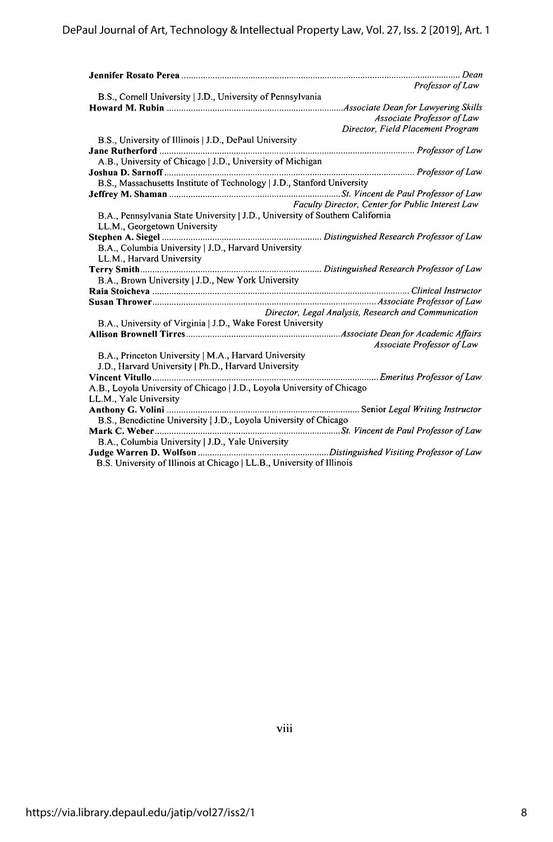|                                                                               | Professor of Law                                     |
|-------------------------------------------------------------------------------|------------------------------------------------------|
| B.S., Cornell University   J.D., University of Pennsylvania                   |                                                      |
|                                                                               | Associate Dean for Lawyering Skills.                 |
|                                                                               | Associate Professor of Law                           |
|                                                                               | Director, Field Placement Program                    |
| B.S., University of Illinois   J.D., DePaul University                        |                                                      |
| <b>Jane Rutherford </b>                                                       |                                                      |
| A.B., University of Chicago   J.D., University of Michigan                    |                                                      |
|                                                                               |                                                      |
| B.S., Massachusetts Institute of Technology   J.D., Stanford University       |                                                      |
|                                                                               |                                                      |
|                                                                               | Faculty Director, Center for Public Interest Law     |
| B.A., Pennsylvania State University   J.D., University of Southern California |                                                      |
| LL.M., Georgetown University                                                  |                                                      |
|                                                                               |                                                      |
| B.A., Columbia University   J.D., Harvard University                          |                                                      |
| LL.M., Harvard University                                                     |                                                      |
|                                                                               |                                                      |
| B.A., Brown University   J.D., New York University                            |                                                      |
|                                                                               |                                                      |
|                                                                               | Director, Legal Analysis, Research and Communication |
| B.A., University of Virginia   J.D., Wake Forest University                   |                                                      |
|                                                                               |                                                      |
|                                                                               | Associate Professor of Law                           |
| B.A., Princeton University   M.A., Harvard University                         |                                                      |
| J.D., Harvard University   Ph.D., Harvard University                          |                                                      |
|                                                                               |                                                      |
| A.B., Loyola University of Chicago   J.D., Loyola University of Chicago       |                                                      |
| LL.M., Yale University                                                        |                                                      |
|                                                                               |                                                      |
| B.S., Benedictine University   J.D., Loyola University of Chicago             |                                                      |
|                                                                               |                                                      |
| B.A., Columbia University   J.D., Yale University                             |                                                      |
|                                                                               |                                                      |
| B.S. University of Illinois at Chicago   LL.B., University of Illinois        |                                                      |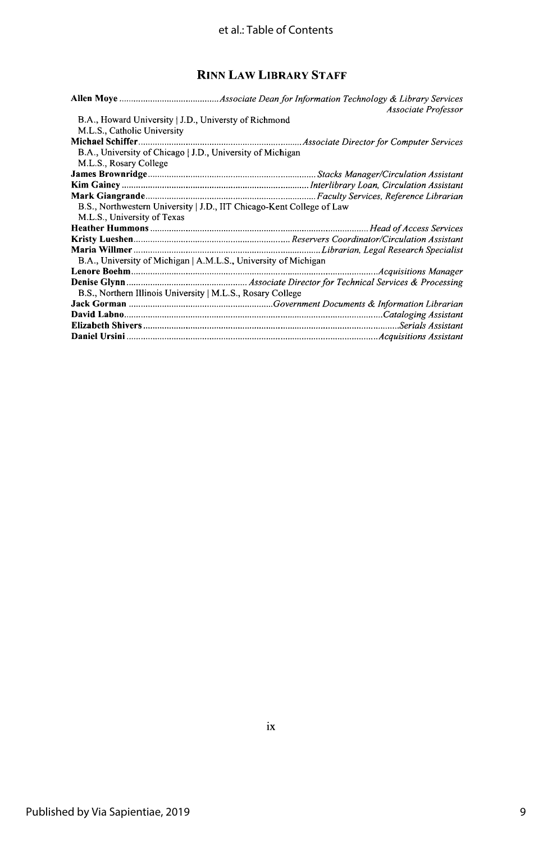# **RINN** LAw LIBRARY **STAFF**

|                                                                       | Associate Professor |
|-----------------------------------------------------------------------|---------------------|
| B.A., Howard University   J.D., Universty of Richmond                 |                     |
| M.L.S., Catholic University                                           |                     |
|                                                                       |                     |
| B.A., University of Chicago   J.D., University of Michigan            |                     |
| M.L.S., Rosary College                                                |                     |
|                                                                       |                     |
|                                                                       |                     |
|                                                                       |                     |
| B.S., Northwestern University   J.D., IIT Chicago-Kent College of Law |                     |
| M.L.S., University of Texas                                           |                     |
|                                                                       |                     |
|                                                                       |                     |
|                                                                       |                     |
| B.A., University of Michigan   A.M.L.S., University of Michigan       |                     |
|                                                                       |                     |
|                                                                       |                     |
| B.S., Northern Illinois University   M.L.S., Rosary College           |                     |
|                                                                       |                     |
|                                                                       |                     |
|                                                                       |                     |
|                                                                       |                     |